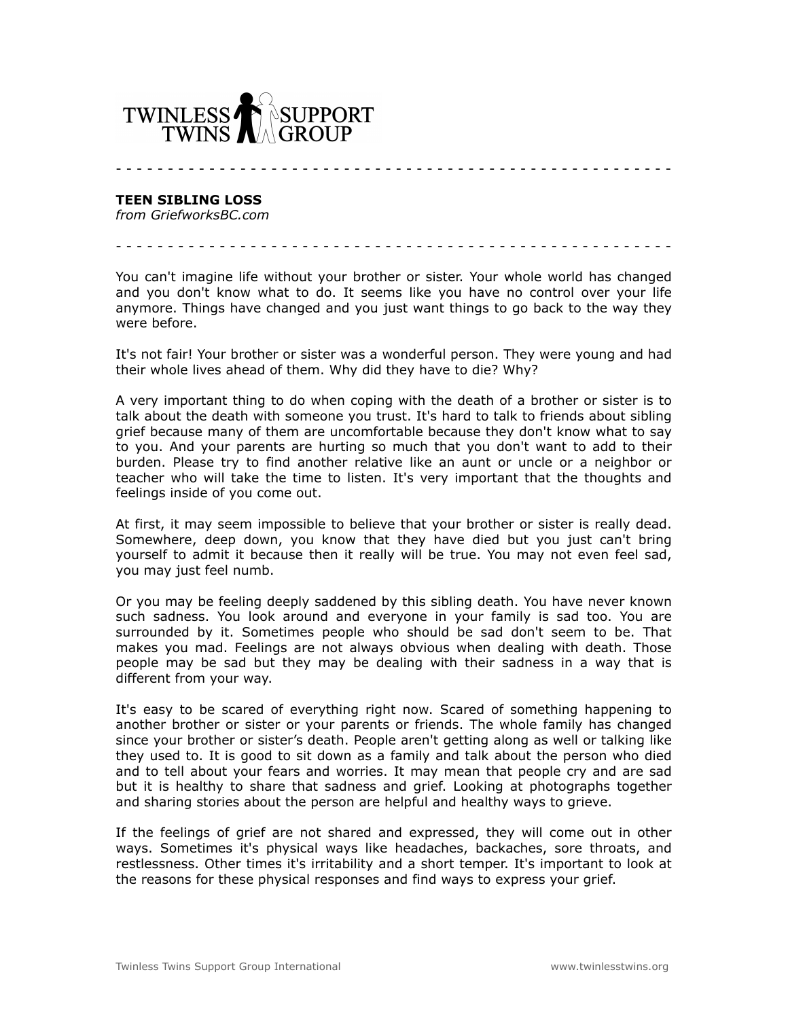

**TEEN SIBLING LOSS**

*from GriefworksBC.com*

You can't imagine life without your brother or sister. Your whole world has changed and you don't know what to do. It seems like you have no control over your life anymore. Things have changed and you just want things to go back to the way they were before.

- - - - - - - - - - - - - - - - - - - - - - - - - - - - - - - - - - - - - - - - - - - - - - - - - - - - - -

- - - - - - - - - - - - - - - - - - - - - - - - - - - - - - - - - - - - - - - - - - - - - - - - - - - - - -

It's not fair! Your brother or sister was a wonderful person. They were young and had their whole lives ahead of them. Why did they have to die? Why?

A very important thing to do when coping with the death of a brother or sister is to talk about the death with someone you trust. It's hard to talk to friends about sibling grief because many of them are uncomfortable because they don't know what to say to you. And your parents are hurting so much that you don't want to add to their burden. Please try to find another relative like an aunt or uncle or a neighbor or teacher who will take the time to listen. It's very important that the thoughts and feelings inside of you come out.

At first, it may seem impossible to believe that your brother or sister is really dead. Somewhere, deep down, you know that they have died but you just can't bring yourself to admit it because then it really will be true. You may not even feel sad, you may just feel numb.

Or you may be feeling deeply saddened by this sibling death. You have never known such sadness. You look around and everyone in your family is sad too. You are surrounded by it. Sometimes people who should be sad don't seem to be. That makes you mad. Feelings are not always obvious when dealing with death. Those people may be sad but they may be dealing with their sadness in a way that is different from your way.

It's easy to be scared of everything right now. Scared of something happening to another brother or sister or your parents or friends. The whole family has changed since your brother or sister's death. People aren't getting along as well or talking like they used to. It is good to sit down as a family and talk about the person who died and to tell about your fears and worries. It may mean that people cry and are sad but it is healthy to share that sadness and grief. Looking at photographs together and sharing stories about the person are helpful and healthy ways to grieve.

If the feelings of grief are not shared and expressed, they will come out in other ways. Sometimes it's physical ways like headaches, backaches, sore throats, and restlessness. Other times it's irritability and a short temper. It's important to look at the reasons for these physical responses and find ways to express your grief.